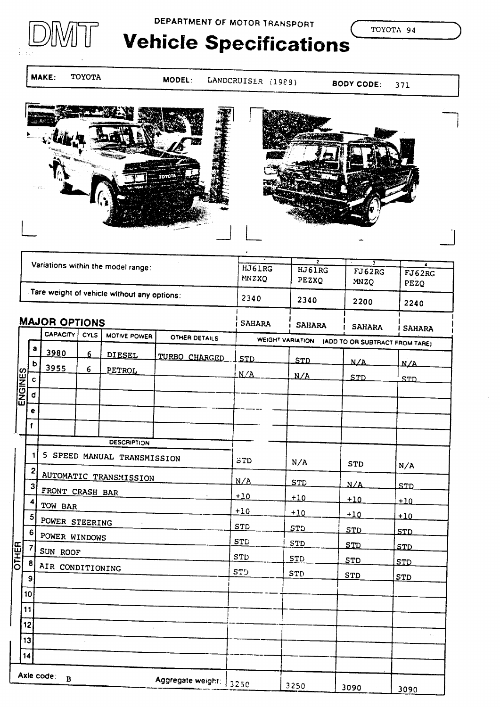

DEPARTMENT OF MOTOR TRANSPORT

TOYOTA 94

# Vehicle Specifications

MAKE: TOYOTA

MODEL:

LANDCRUISER (1988)

**BODY CODE:** 371



|                                             |                                                        |                                           |                  |                      |               |               | $\overline{\mathbf{r}}$ | Τ<br>τ                         | $\overline{\bullet}$ |  |
|---------------------------------------------|--------------------------------------------------------|-------------------------------------------|------------------|----------------------|---------------|---------------|-------------------------|--------------------------------|----------------------|--|
| Variations within the model range:          |                                                        |                                           |                  |                      |               | HJ61RG        | HJ61RG                  | FJ62RG                         | FJ62RG               |  |
|                                             |                                                        |                                           |                  |                      |               | MNZXQ         | PEZXQ                   | MN <sub>ZQ</sub>               | PEZQ                 |  |
| Tare weight of vehicle without any options: |                                                        |                                           |                  |                      |               | 2340          | 2340                    | 2200                           | 2240                 |  |
|                                             | <b>MAJOR OPTIONS</b>                                   |                                           |                  |                      |               | <b>SAHARA</b> | <b>SAHARA</b>           | <b>SAHARA</b>                  | <b>SAHARA</b>        |  |
|                                             |                                                        | <b>CAPACITY</b>                           | CYLS             | MOTIVE POWER         | OTHER DETAILS |               | <b>WEIGHT VARIATION</b> | (ADD TO OR SUBTRACT FROM TARE) |                      |  |
|                                             | a                                                      | 3980                                      | $6\phantom{1}6$  | <b>DIESEL</b>        | TURBO CHARGED | STD           | <u>STD</u>              | N/A                            |                      |  |
|                                             | $\mathbf b$                                            | 3955                                      | $\boldsymbol{6}$ | PETROL               |               | N/A           |                         |                                | N/A                  |  |
|                                             | $\mathbf c$                                            |                                           |                  |                      |               |               | N/A                     | STD.                           | STD                  |  |
| ENGINES                                     | đ                                                      |                                           |                  |                      |               |               |                         |                                |                      |  |
|                                             | e                                                      |                                           |                  |                      |               |               |                         |                                |                      |  |
|                                             | $\mathbf{f}$                                           |                                           |                  |                      |               |               |                         |                                |                      |  |
|                                             |                                                        |                                           |                  |                      |               |               |                         |                                |                      |  |
|                                             |                                                        |                                           |                  | <b>DESCRIPTION</b>   |               |               |                         |                                |                      |  |
|                                             | $\mathbf{2}$                                           | 5 SPEED MANUAL TRANSMISSION               |                  |                      |               | STD           | N/A                     | <b>STD</b>                     | N/A                  |  |
|                                             | 3                                                      |                                           |                  |                      | N/A           | <b>STD</b>    | N/A                     | STD                            |                      |  |
|                                             |                                                        | AUTOMATIC TRANSMISSION<br>FRONT CRASH BAR |                  |                      |               | $+10$         | $+10$                   | $+10$                          | $+10$                |  |
|                                             | 4<br>5                                                 | TOW BAR                                   |                  |                      |               | $+10$         | $+10$                   | $+10$                          | $+10$                |  |
|                                             |                                                        | POWER STEERING                            |                  |                      |               | <b>STD</b>    | STD                     | STD                            | STD                  |  |
|                                             | 6                                                      | POWER WINDOWS                             |                  |                      |               | STD           | <b>STD</b>              | STD                            | STD                  |  |
| HEH<br>J                                    | 7                                                      | SUN ROOF                                  |                  |                      |               | <b>STD</b>    | STD                     | <b>STD</b>                     | STD                  |  |
|                                             | $\boldsymbol{9}$                                       | 8<br>AIR CONDITIONING                     |                  | STD                  | <b>STD</b>    | <b>STD</b>    | <b>STD</b>              |                                |                      |  |
|                                             | 10<br>11                                               |                                           |                  |                      |               |               |                         |                                |                      |  |
|                                             |                                                        |                                           |                  |                      |               |               |                         |                                |                      |  |
|                                             |                                                        |                                           |                  |                      |               |               |                         |                                |                      |  |
|                                             | 12                                                     |                                           |                  | $\ddot{\phantom{a}}$ |               |               |                         |                                |                      |  |
|                                             | 13                                                     |                                           |                  |                      |               |               |                         |                                |                      |  |
|                                             | 14                                                     |                                           |                  |                      |               |               |                         |                                |                      |  |
|                                             | Axle code:<br>$\mathbf{B}$<br>Aggregate weight:   3250 |                                           |                  |                      |               | 3250          | 3090                    | 3090                           |                      |  |